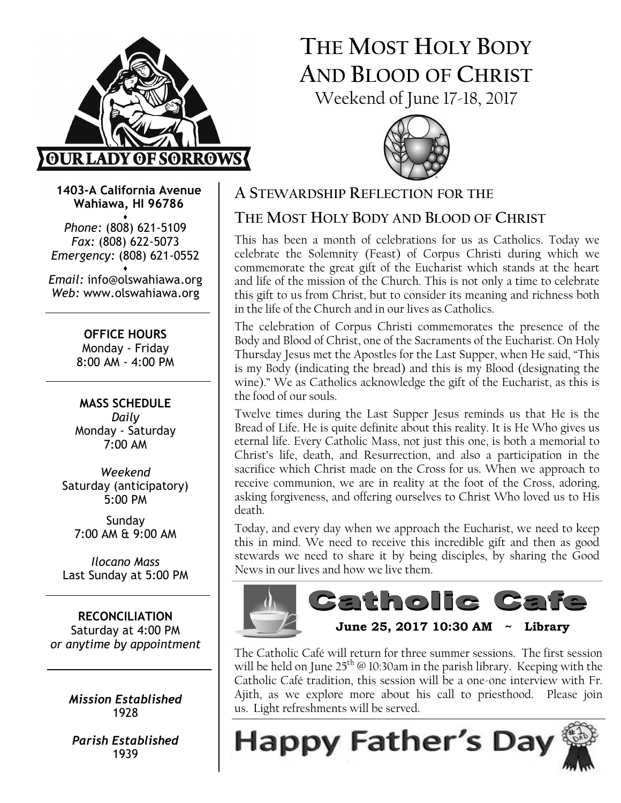

# THE MOST HOLY BODY AND BLOOD OF CHRIST Weekend of June 17-18, 2017



1403-A California Avenue Wahiawa, HI 96786

♦ Phone: (808) 621-5109 Fax: (808) 622-5073 Emergency: (808) 621-0552 ♦

Email: info@olswahiawa.org Web: www.olswahiawa.org

> OFFICE HOURS Monday - Friday 8:00 AM - 4:00 PM

MASS SCHEDULE Daily Monday - Saturday 7:00 AM

Weekend Saturday (anticipatory) 5:00 PM

Sunday 7:00 AM & 9:00 AM

Ilocano Mass Last Sunday at 5:00 PM

RECONCILIATION Saturday at 4:00 PM or anytime by appointment

> Mission Established 1928

Parish Established 1939

### A STEWARDSHIP REFLECTION FOR THE

## THE MOST HOLY BODY AND BLOOD OF CHRIST

This has been a month of celebrations for us as Catholics. Today we celebrate the Solemnity (Feast) of Corpus Christi during which we commemorate the great gift of the Eucharist which stands at the heart and life of the mission of the Church. This is not only a time to celebrate this gift to us from Christ, but to consider its meaning and richness both in the life of the Church and in our lives as Catholics.

The celebration of Corpus Christi commemorates the presence of the Body and Blood of Christ, one of the Sacraments of the Eucharist. On Holy Thursday Jesus met the Apostles for the Last Supper, when He said, "This is my Body (indicating the bread) and this is my Blood (designating the wine)." We as Catholics acknowledge the gift of the Eucharist, as this is the food of our souls.

Twelve times during the Last Supper Jesus reminds us that He is the Bread of Life. He is quite definite about this reality. It is He Who gives us eternal life. Every Catholic Mass, not just this one, is both a memorial to Christ's life, death, and Resurrection, and also a participation in the sacrifice which Christ made on the Cross for us. When we approach to receive communion, we are in reality at the foot of the Cross, adoring, asking forgiveness, and offering ourselves to Christ Who loved us to His death.

Today, and every day when we approach the Eucharist, we need to keep this in mind. We need to receive this incredible gift and then as good stewards we need to share it by being disciples, by sharing the Good News in our lives and how we live them.



The Catholic Café will return for three summer sessions. The first session will be held on June  $25<sup>th</sup>$  @ 10:30am in the parish library. Keeping with the Catholic Café tradition, this session will be a one-one interview with Fr. Ajith, as we explore more about his call to priesthood. Please join us. Light refreshments will be served.

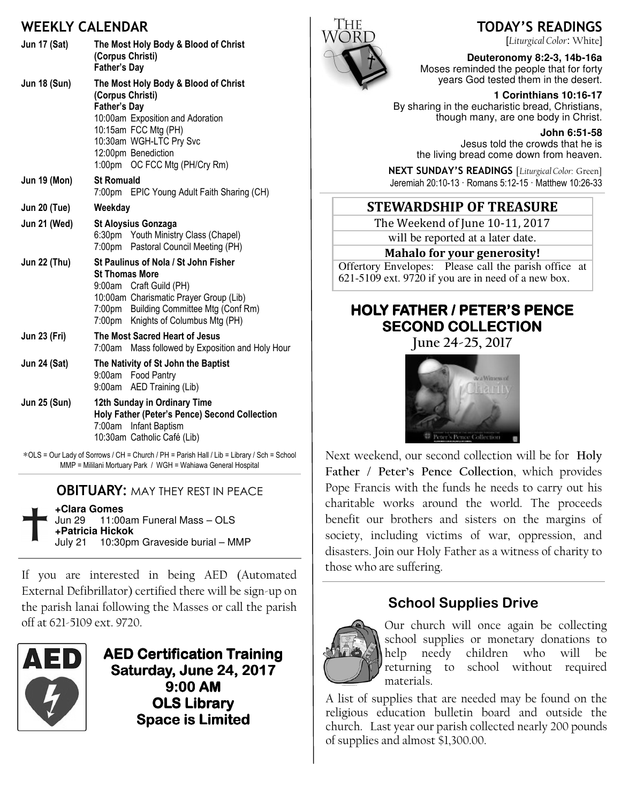### WEEKIV CALENDAR

|                     | VLLNLI CALLIYVAN                                                                                                                                                                                                                    |
|---------------------|-------------------------------------------------------------------------------------------------------------------------------------------------------------------------------------------------------------------------------------|
| <b>Jun 17 (Sat)</b> | The Most Holy Body & Blood of Christ<br>(Corpus Christi)<br><b>Father's Day</b>                                                                                                                                                     |
| <b>Jun 18 (Sun)</b> | The Most Holy Body & Blood of Christ<br>(Corpus Christi)<br><b>Father's Day</b><br>10:00am Exposition and Adoration<br>10:15am FCC Mtg (PH)<br>10:30am WGH-LTC Pry Svc<br>12:00pm Benediction<br>1:00pm OC FCC Mtg (PH/Cry Rm)      |
| <b>Jun 19 (Mon)</b> | <b>St Romuald</b><br>7:00pm EPIC Young Adult Faith Sharing (CH)                                                                                                                                                                     |
| <b>Jun 20 (Tue)</b> | Weekday                                                                                                                                                                                                                             |
| Jun 21 (Wed)        | <b>St Aloysius Gonzaga</b><br>6:30pm Youth Ministry Class (Chapel)<br>7:00pm Pastoral Council Meeting (PH)                                                                                                                          |
| <b>Jun 22 (Thu)</b> | St Paulinus of Nola / St John Fisher<br><b>St Thomas More</b><br>9:00am Craft Guild (PH)<br>10:00am Charismatic Prayer Group (Lib)<br>7:00pm Building Committee Mtg (Conf Rm)<br>Knights of Columbus Mtg (PH)<br>7:00 <sub>pm</sub> |
| <b>Jun 23 (Fri)</b> | The Most Sacred Heart of Jesus<br>7:00am Mass followed by Exposition and Holy Hour                                                                                                                                                  |
| <b>Jun 24 (Sat)</b> | The Nativity of St John the Baptist<br>9:00am Food Pantry<br>AED Training (Lib)<br>9:00am                                                                                                                                           |
| <b>Jun 25 (Sun)</b> | 12th Sunday in Ordinary Time<br>Holy Father (Peter's Pence) Second Collection<br>7:00am Infant Baptism<br>10:30am Catholic Café (Lib)                                                                                               |

∗OLS = Our Lady of Sorrows / CH = Church / PH = Parish Hall / Lib = Library / Sch = School MMP = Mililani Mortuary Park / WGH = Wahiawa General Hospital

**OBITUARY: MAY THEY REST IN PEACE** 

| +Clara Gomes     |                                        |  |
|------------------|----------------------------------------|--|
|                  | Jun 29 11:00am Funeral Mass - OLS      |  |
| +Patricia Hickok |                                        |  |
|                  | July 21 10:30pm Graveside burial - MMP |  |

If you are interested in being AED (Automated External Defibrillator) certified there will be sign-up on the parish lanai following the Masses or call the parish off at 621-5109 ext. 9720.



AED Certification Training AED Certification Training Saturday, June 24, 2017  $9:00$  AM **OLS Library** Space is Limited



TODAY'S READINGS

[Liturgical Color: White]

**Deuteronomy 8:2-3, 14b-16a**  Moses reminded the people that for forty years God tested them in the desert.

 **1 Corinthians 10:16-17**  By sharing in the eucharistic bread, Christians, though many, are one body in Christ.

> **John 6:51-58**  Jesus told the crowds that he is the living bread come down from heaven.

NEXT SUNDAY'S READINGS [Liturgical Color: Green] Jeremiah 20:10-13 · Romans 5:12-15 · Matthew 10:26-33

### **STEWARDSHIP OF TREASURE**

The Weekend of June 10-11, 2017

will be reported at a later date.

#### Mahalo for your generosity!

Offertory Envelopes: Please call the parish office at 621-5109 ext. 9720 if you are in need of a new box.

# HOLY FATHER / PETER'S PENCE SECOND COLLECTION

June 24-25, 2017



Next weekend, our second collection will be for Holy Father / Peter's Pence Collection, which provides Pope Francis with the funds he needs to carry out his charitable works around the world. The proceeds benefit our brothers and sisters on the margins of society, including victims of war, oppression, and disasters. Join our Holy Father as a witness of charity to those who are suffering.

## School Supplies Drive



Our church will once again be collecting school supplies or monetary donations to help needy children who will be returning to school without required materials.

A list of supplies that are needed may be found on the religious education bulletin board and outside the church. Last year our parish collected nearly 200 pounds of supplies and almost \$1,300.00.